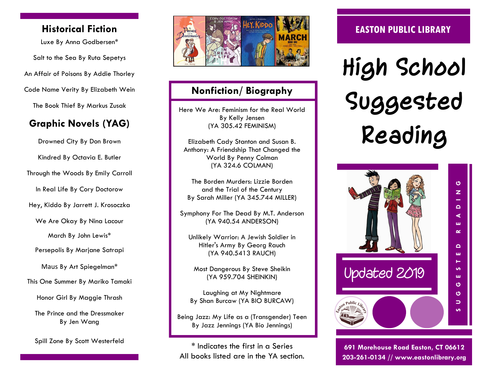## **Historical Fiction**

Luxe By Anna Godbersen\* Salt to the Sea By Ruta Sepetys An Affair of Poisons By Addie Thorley Code Name Verity By Elizabeth Wein The Book Thief By [Markus Zusak](http://www.goodreads.com/author/show/11466.Markus_Zusak) 

# **Graphic Novels (YAG)**

Drowned City By Don Brown Kindred By Octavia E. Butler Through the Woods By Emily Carroll In Real Life By Cory Doctorow Hey, Kiddo By Jarrett J. Krosoczka We Are Okay By Nina Lacour March By John Lewis\* Persepolis By Marjane Satrapi Maus By Art Spiegelman\* This One Summer By Mariko Tamaki Honor Girl By Maggie Thrash The Prince and the Dressmaker By Jen Wang

Spill Zone By Scott Westerfeld



## **Nonfiction/ Biography**

Here We Are: Feminism for the Real World By Kelly Jensen (YA 305.42 FEMINISM)

Elizabeth Cady Stanton and Susan B. Anthony: A Friendship That Changed the World By Penny Colman (YA 324.6 COLMAN)

The Borden Murders: Lizzie Borden and the Trial of the Century By Sarah Miller (YA 345.744 MILLER)

Symphony For The Dead By M.T. Anderson (YA 940.54 ANDERSON)

Unlikely Warrior: A Jewish Soldier in Hitler's Army By Georg Rauch (YA 940.5413 RAUCH)

Most Dangerous By Steve Sheikin (YA 959.704 SHEINKIN)

Laughing at My Nightmare By Shan Burcaw (YA BIO BURCAW)

Being Jazz: My Life as a (Transgender) Teen By Jazz Jennings (YA Bio Jennings)

\* Indicates the first in a Series All books listed are in the YA section.

## **EASTON PUBLIC LIBRARY**

**High School Suggested Reading**



**691 Morehouse Road Easton, CT 06612 203-261-0134 // www.eastonlibrary.org**